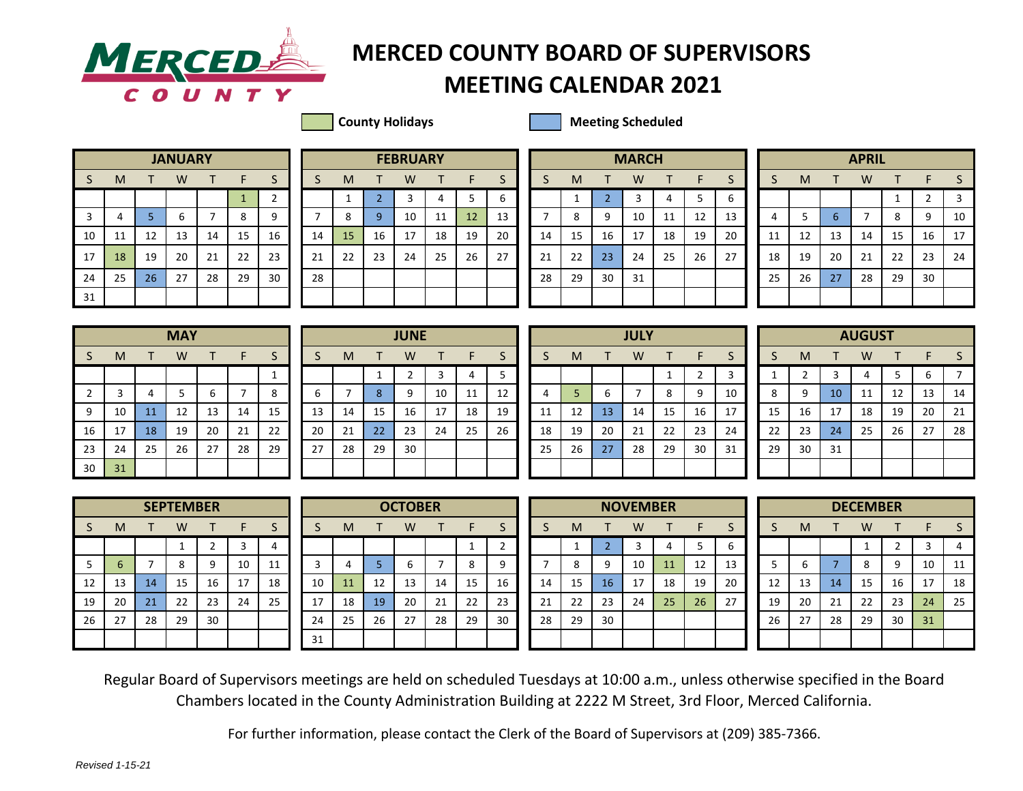

## **MERCEDER** MERCED COUNTY BOARD OF SUPERVISORS

## **MEETING CALENDAR 2021**

**County Holidays County Holidays Meeting Scheduled** 

|    |    |    | <b>JANUARY</b> |    |              |                |
|----|----|----|----------------|----|--------------|----------------|
| S  | M  | т  | W              | т  | F            | S              |
|    |    |    |                |    | $\mathbf{1}$ | $\overline{2}$ |
| 3  | 4  | 5  | 6              | 7  | 8            | 9              |
| 10 | 11 | 12 | 13             | 14 | 15           | 16             |
| 17 | 18 | 19 | 20             | 21 | 22           | 23             |
| 24 | 25 | 26 | 27             | 28 | 29           | 30             |
| 31 |    |    |                |    |              |                |

|    |    |    | <b>JANUARY</b> |    |              |    |    |    |    | <b>FEBRUARY</b> |    |                 |    |    |    |    | <b>MARCH</b> |                      |    |    |    | <b>APRIL</b><br>W<br>м<br>8<br>n.<br>12<br>15<br>14<br>13<br>21<br>19<br>22<br>20 |    |    |    |    |    |
|----|----|----|----------------|----|--------------|----|----|----|----|-----------------|----|-----------------|----|----|----|----|--------------|----------------------|----|----|----|-----------------------------------------------------------------------------------|----|----|----|----|----|
| S. | M  |    | W              |    |              | د  |    | M  |    | W               |    |                 | د  |    | M  |    | W            |                      |    |    |    |                                                                                   |    |    |    |    |    |
|    |    |    |                |    |              |    |    |    |    |                 | 4  |                 | b  |    |    |    |              |                      |    |    |    |                                                                                   |    |    |    |    | 3  |
| 3  |    |    | b              |    | $\circ$<br>Õ | 9  |    | 8  | Ω  | 10              | 11 | 12 <sup>°</sup> | 13 |    | 8  | Q  | 10           | $\overline{11}$<br>ᆠ | 12 | 13 |    |                                                                                   |    |    |    | a  | 10 |
| 10 | ᆠ  | 12 | 13             | 14 | 15           | 16 | 14 | 15 | 16 | 17              | 18 | 19              | 20 | 14 | 15 | 16 | 17           | 18                   | 19 | 20 | 11 |                                                                                   |    |    |    | 16 | 17 |
| 17 | 18 | 19 | 20             | 21 | 22           | 23 | 21 | 22 | 23 | 24              | 25 | 26              | 27 | 21 | 22 | 23 | 24           | 25                   | 26 | 27 | 18 |                                                                                   |    |    |    | 23 | 24 |
| 24 | 25 | 26 | 27             | 28 | 29           | 30 | 28 |    |    |                 |    |                 |    | 28 | 29 | 30 | 31           |                      |    |    | 25 | 26                                                                                | 27 | 28 | 29 | 30 |    |
| 31 |    |    |                |    |              |    |    |    |    |                 |    |                 |    |    |    |    |              |                      |    |    |    |                                                                                   |    |    |    |    |    |

|                |             |                | <b>MARCH</b> |              |    |    |
|----------------|-------------|----------------|--------------|--------------|----|----|
| $\mathsf{S}$   | M           | т              | W            | $\mathsf{T}$ | F  | S  |
|                | $\mathbf 1$ | $\overline{2}$ | 3            | 4            | 5  | 6  |
| $\overline{7}$ | 8           | 9              | 10           | 11           | 12 | 13 |
| 14             | 15          | 16             | 17           | 18           | 19 | 20 |
| 21             | 22          | 23             | 24           | 25           | 26 | 27 |
| 28             | 29          | 30             | 31           |              |    |    |
|                |             |                |              |              |    |    |
|                |             |                |              |              |    |    |

|    |    |                 | <b>APRIL</b> |              |                |    |
|----|----|-----------------|--------------|--------------|----------------|----|
| S  | M  | т               | W            | $\mathsf{T}$ | F              | S  |
|    |    |                 |              | 1            | $\overline{2}$ | 3  |
| 4  | 5  | $6\phantom{1}6$ | 7            | 8            | 9              | 10 |
| 11 | 12 | 13              | 14           | 15           | 16             | 17 |
| 18 | 19 | 20              | 21           | 22           | 23             | 24 |
| 25 | 26 | 27              | 28           | 29           | 30             |    |
|    |    |                 |              |              |                |    |

|             |    |    | <b>MAY</b> |    |    |    |
|-------------|----|----|------------|----|----|----|
| S           | M  | т  | W          | т  | F  | S  |
|             |    |    |            |    |    | 1  |
| $\mathbf 2$ | 3  | 4  | 5          | 6  | 7  | 8  |
| 9           | 10 | 11 | 12         | 13 | 14 | 15 |
| 16          | 17 | 18 | 19         | 20 | 21 | 22 |
| 23          | 24 | 25 | 26         | 27 | 28 | 29 |
| 30          | 31 |    |            |    |    |    |

|                |    |    | <b>MAY</b> |    |    |    |    |    |              | <b>JUNE</b> |    |    |    |         |    |    | <b>JULY</b> |    |    |    |    |    |    | <b>AUGUST</b> |    |    |    |
|----------------|----|----|------------|----|----|----|----|----|--------------|-------------|----|----|----|---------|----|----|-------------|----|----|----|----|----|----|---------------|----|----|----|
| S.             | M  |    | W          |    | F  | S  |    | M  |              | W           |    |    |    |         | M  |    | W           |    | F. |    |    | М  |    | W             |    |    |    |
|                |    |    |            |    |    |    |    |    |              |             | 3  | 4  |    |         |    |    |             |    |    |    |    |    |    |               |    | b  |    |
| $\overline{2}$ |    | 4  | 5          |    |    | 8  | b  |    | Ō.           | 9           | 10 | 11 | 12 |         |    | b  |             | 8  | 9  | 10 | 8  | 9  | 10 | 11            | 12 | 13 | 14 |
| 9              | 10 | 11 | 12         | 13 | 14 | 15 | 13 | 14 | 15           | 16          | 17 | 18 | 19 | 11<br>ᆠ | 12 | 13 | 14          | 15 | 16 | 17 | 15 | 16 | 17 | 18            | 19 | 20 | 21 |
| 16             | 17 | 18 | 19         | 20 | 21 | 22 | 20 | 21 | $22^{\circ}$ | 23          | 24 | 25 | 26 | 18      | 19 | 20 | 21          | 22 | 23 | 24 | 22 | 23 | 24 | 25            | 26 | 27 | 28 |
| 23             | 24 | 25 | 26         | 27 | 28 | 29 | 27 | 28 | 29           | 30          |    |    |    | 25      | 26 | 27 | 28          | 29 | 30 | 31 | 29 | 30 | 31 |               |    |    |    |
| 30             | 31 |    |            |    |    |    |    |    |              |             |    |    |    |         |    |    |             |    |    |    |    |    |    |               |    |    |    |

|              |    |    | <b>JULY</b> |             |                |    |
|--------------|----|----|-------------|-------------|----------------|----|
| <sub>S</sub> | M  | т  | W           | Т           | F              | S  |
|              |    |    |             | $\mathbf 1$ | $\overline{2}$ | 3  |
| 4            | 5  | 6  | 7           | 8           | 9              | 10 |
| 11           | 12 | 13 | 14          | 15          | 16             | 17 |
| 18           | 19 | 20 | 21          | 22          | 23             | 24 |
| 25           | 26 | 27 | 28          | 29          | 30             | 31 |
|              |    |    |             |             |                |    |

|             |                |    | <b>AUGUST</b> |    |    |    |
|-------------|----------------|----|---------------|----|----|----|
| S           | M              | т  | W             | т  | F  | S  |
| $\mathbf 1$ | $\overline{2}$ | 3  | 4             | 5  | 6  | 7  |
| 8           | 9              | 10 | 11            | 12 | 13 | 14 |
| 15          | 16             | 17 | 18            | 19 | 20 | 21 |
| 22          | 23             | 24 | 25            | 26 | 27 | 28 |
| 29          | 30             | 31 |               |    |    |    |
|             |                |    |               |    |    |    |

|    |    |    | <b>SEPTEMBER</b> |                |    |    |
|----|----|----|------------------|----------------|----|----|
| S  | M  |    | W                | т              | F  | S  |
|    |    |    | 1                | $\overline{2}$ | 3  | 4  |
| 5  | 6  | 7  | 8                | 9              | 10 | 11 |
| 12 | 13 | 14 | 15               | 16             | 17 | 18 |
| 19 | 20 | 21 | 22               | 23             | 24 | 25 |
| 26 | 27 | 28 | 29               | 30             |    |    |
|    |    |    |                  |                |    |    |

|    |    |    | <b>SEPTEMBER</b> |    |    |    |    |    |    | <b>OCTOBER</b> |    |    |    |    |    |                 | <b>NOVEMBER</b> |    |    |    |    | <b>DECEMBER</b><br>W<br>м<br>10<br>$\circ$<br>q<br>Õ<br>13<br>15<br>17<br>16<br>14<br>д.,<br>20<br>22<br>23<br>24<br>21 |    |    |    |    |    |
|----|----|----|------------------|----|----|----|----|----|----|----------------|----|----|----|----|----|-----------------|-----------------|----|----|----|----|-------------------------------------------------------------------------------------------------------------------------|----|----|----|----|----|
|    | м  |    | W                |    | ►  |    |    | м  |    | W              |    |    |    |    | M  |                 | w               |    |    |    |    |                                                                                                                         |    |    |    |    |    |
|    |    |    |                  |    |    | 4  |    |    |    |                |    |    |    |    |    |                 |                 |    |    |    |    |                                                                                                                         |    |    |    |    | 4  |
| 5  | ь  |    | ດ<br>o           |    | 10 | 11 |    |    |    |                |    |    | a  |    |    | ۵               | 10              | 11 | 12 | 13 |    |                                                                                                                         |    |    |    |    | 11 |
| 12 | 13 | 14 | 15               | 16 | 17 | 18 | 10 | 11 | 12 | 13             | 14 | 15 | 16 | 14 | 15 | 16 <sup>1</sup> | 17              | 18 | 19 | 20 | 12 |                                                                                                                         |    |    |    |    | 18 |
| 19 | 20 | 21 | 22               | 23 | 24 | 25 | 17 | 18 | 19 | 20             | 21 | 22 | 23 | 21 | 22 | 23              | 24              | 25 | 26 | דר | 19 |                                                                                                                         |    |    |    |    | 25 |
| 26 | 27 | 28 | 29               | 30 |    |    | 24 | 25 | 26 | 27             | 28 | 29 | 30 | 28 | 29 | 30              |                 |    |    |    | 26 | 27                                                                                                                      | 28 | 29 | 30 | 31 |    |
|    |    |    |                  |    |    |    | 31 |    |    |                |    |    |    |    |    |                 |                 |    |    |    |    |                                                                                                                         |    |    |    |    |    |

|                |    |                | <b>NOVEMBER</b> |    |    |                |
|----------------|----|----------------|-----------------|----|----|----------------|
| S              | M  | T              | W               | т  | F  |                |
|                | 1  | $\overline{2}$ | 3               | 4  | 5  |                |
| $\overline{7}$ | 8  | 9              | 10              | 11 | 12 | 1              |
| 14             | 15 | 16             | 17              | 18 | 19 | $\overline{a}$ |
| 21             | 22 | 23             | 24              | 25 | 26 | 2              |
| 28             | 29 | 30             |                 |    |    |                |
|                |    |                |                 |    |    |                |

|    |    |    | <b>DECEMBER</b> |                |    |    |
|----|----|----|-----------------|----------------|----|----|
| S  | M  | т  | W               | T              | F  | S  |
|    |    |    | 1               | $\overline{2}$ | 3  | 4  |
| 5  | 6  | 7  | 8               | 9              | 10 | 11 |
| 12 | 13 | 14 | 15              | 16             | 17 | 18 |
| 19 | 20 | 21 | 22              | 23             | 24 | 25 |
| 26 | 27 | 28 | 29              | 30             | 31 |    |
|    |    |    |                 |                |    |    |

Regular Board of Supervisors meetings are held on scheduled Tuesdays at 10:00 a.m., unless otherwise specified in the Board Chambers located in the County Administration Building at 2222 M Street, 3rd Floor, Merced California.

For further information, please contact the Clerk of the Board of Supervisors at (209) 385-7366.